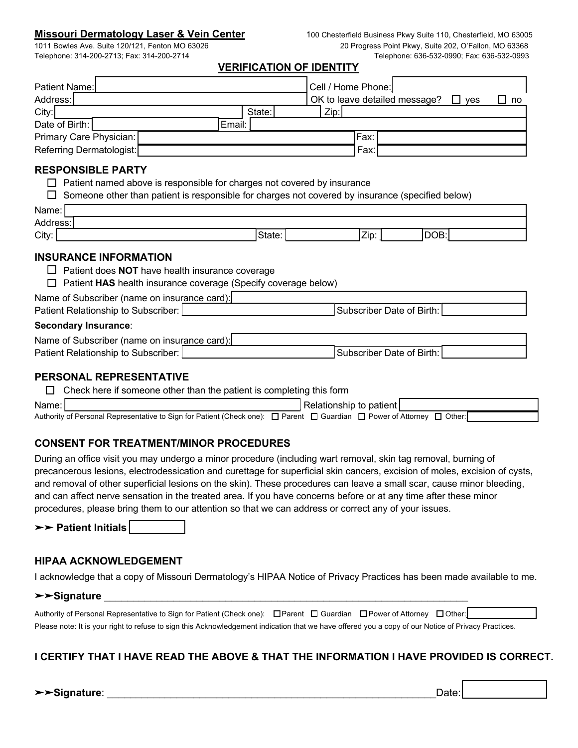## **Missouri Dermatology Laser & Vein Center** 100 Chesterfield Business Pkwy Suite 110, Chesterfield, MO 63005

**VERIFICATION OF IDENTITY**

| Patient Name:            |        | Cell / Home Phone:                         |
|--------------------------|--------|--------------------------------------------|
| Address:                 |        | OK to leave detailed message?<br>ves<br>no |
| City:                    | State: | Zip:                                       |
| Date of Birth:           | Email: |                                            |
| Primary Care Physician:  |        | Fax:                                       |
| Referring Dermatologist: |        | Fax:                                       |

#### **RESPONSIBLE PARTY**

- $\Box$  Patient named above is responsible for charges not covered by insurance
- $\Box$  Someone other than patient is responsible for charges not covered by insurance (specified below)

| Name:    |        |      |              |
|----------|--------|------|--------------|
| Address: |        |      |              |
| City:    | State: | Zip: | <b>IDOB:</b> |
|          |        |      |              |

## **INSURANCE INFORMATION**

- □ Patient does **NOT** have health insurance coverage
- □ Patient HAS health insurance coverage (Specify coverage below)

Name of Subscriber (name on insurance card):

| Patient Relationship to Subscriber: | Subscriber Date of Birth: |  |
|-------------------------------------|---------------------------|--|
| Secondary Insurance:                |                           |  |

#### **Secondary Insurance**:

| Name of Subscriber (name on insurance card): |                            |  |
|----------------------------------------------|----------------------------|--|
| Patient Relationship to Subscriber '         | 'Subscriber Date of Birth: |  |

### **PERSONAL REPRESENTATIVE**

|         | Check here if someone other than the patient is completing this form                                                   |  |  |  |
|---------|------------------------------------------------------------------------------------------------------------------------|--|--|--|
| Name: I | Relationship to patient                                                                                                |  |  |  |
|         | Authority of Personal Representative to Sign for Patient (Check one): □ Parent □ Guardian □ Power of Attorney □ Other: |  |  |  |

# **CONSENT FOR TREATMENT/MINOR PROCEDURES**

During an office visit you may undergo a minor procedure (including wart removal, skin tag removal, burning of precancerous lesions, electrodessication and curettage for superficial skin cancers, excision of moles, excision of cysts, and removal of other superficial lesions on the skin). These procedures can leave a small scar, cause minor bleeding, and can affect nerve sensation in the treated area. If you have concerns before or at any time after these minor procedures, please bring them to our attention so that we can address or correct any of your issues.

➤➤ **Patient Initials** \_\_\_\_\_\_\_\_\_

# **HIPAA ACKNOWLEDGEMENT**

I acknowledge that a copy of Missouri Dermatology's HIPAA Notice of Privacy Practices has been made available to me.

#### ➤➤**Signature** \_\_\_\_\_\_\_\_\_\_\_\_\_\_\_\_\_\_\_\_\_\_\_\_\_\_\_\_\_\_\_\_\_\_\_\_\_\_\_\_\_\_\_\_\_\_\_\_\_\_\_\_\_\_\_\_\_\_\_\_\_\_\_

| Authority of Personal Representative to Sign for Patient (Check one): □ Parent □ Guardian □ Power of Attorney □ Other:                              |  |  |
|-----------------------------------------------------------------------------------------------------------------------------------------------------|--|--|
| Please note: It is your right to refuse to sign this Acknowledgement indication that we have offered you a copy of our Notice of Privacy Practices. |  |  |

# **I CERTIFY THAT I HAVE READ THE ABOVE & THAT THE INFORMATION I HAVE PROVIDED IS CORRECT.**

➤➤**Signature**: \_\_\_\_\_\_\_\_\_\_\_\_\_\_\_\_\_\_\_\_\_\_\_\_\_\_\_\_\_\_\_\_\_\_\_\_\_\_\_\_\_\_\_\_\_\_\_\_\_\_\_\_\_\_\_\_\_Date: \_\_\_\_\_\_\_\_\_\_\_\_\_\_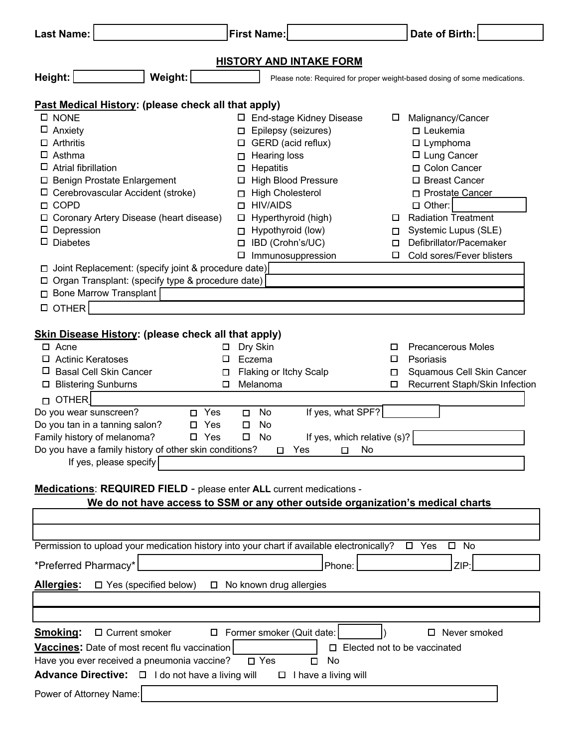| <b>Last Name:</b>                                                                                                                                                                                                           | <b>First Name:</b>                                                                                                                         | Date of Birth:                                                                                             |
|-----------------------------------------------------------------------------------------------------------------------------------------------------------------------------------------------------------------------------|--------------------------------------------------------------------------------------------------------------------------------------------|------------------------------------------------------------------------------------------------------------|
|                                                                                                                                                                                                                             | <b>HISTORY AND INTAKE FORM</b>                                                                                                             |                                                                                                            |
| Weight:<br>Height:                                                                                                                                                                                                          |                                                                                                                                            | Please note: Required for proper weight-based dosing of some medications.                                  |
| Past Medical History: (please check all that apply)                                                                                                                                                                         |                                                                                                                                            |                                                                                                            |
| <b>D</b> NONE<br>□<br>Anxiety<br>Arthritis<br>Asthma                                                                                                                                                                        | □ End-stage Kidney Disease<br>Epilepsy (seizures)<br>□<br>$\Box$ GERD (acid reflux)<br>Hearing loss<br>□                                   | Malignancy/Cancer<br>Ц<br>$\square$ Leukemia<br>$\square$ Lymphoma<br>□ Lung Cancer                        |
| Atrial fibrillation<br>□ Benign Prostate Enlargement<br>Cerebrovascular Accident (stroke)<br><b>COPD</b><br>0<br>Coronary Artery Disease (heart disease)                                                                    | Hepatitis<br>ப<br><b>High Blood Pressure</b><br>□<br><b>High Cholesterol</b><br>◻<br><b>HIV/AIDS</b><br>□<br>Hyperthyroid (high)<br>$\Box$ | □ Colon Cancer<br>□ Breast Cancer<br>□ Prostate Cancer<br>$\Box$ Other:<br><b>Radiation Treatment</b><br>ப |
| Depression<br><b>Diabetes</b><br>Joint Replacement: (specify joint & procedure date)                                                                                                                                        | Hypothyroid (low)<br>□<br>IBD (Crohn's/UC)<br>$\Box$<br>Immunosuppression<br>□                                                             | Systemic Lupus (SLE)<br>□<br>Defibrillator/Pacemaker<br>□<br>Cold sores/Fever blisters<br>$\Box$           |
| □ Organ Transplant: (specify type & procedure date)<br><b>D</b> Bone Marrow Transplant<br>$\Box$ OTHER                                                                                                                      |                                                                                                                                            |                                                                                                            |
| Skin Disease History: (please check all that apply)<br>$\Box$ Acne                                                                                                                                                          | Dry Skin<br>□                                                                                                                              | <b>Precancerous Moles</b><br>□                                                                             |
| <b>Actinic Keratoses</b><br>⊔<br><b>Basal Cell Skin Cancer</b><br>□<br><b>Blistering Sunburns</b><br>□                                                                                                                      | Eczema<br>□<br>Flaking or Itchy Scalp<br>Melanoma                                                                                          | □<br>Psoriasis<br>Squamous Cell Skin Cancer<br>□<br>Recurrent Staph/Skin Infection<br>$\Box$               |
| <b>OTHER</b><br>П.<br>Do you wear sunscreen?<br>Yes<br>п<br>Do you tan in a tanning salon?<br>Yes<br>Family history of melanoma?<br>Yes<br>Do you have a family history of other skin conditions?<br>If yes, please specify | If yes, what SPF?<br>No<br>□<br>No<br>□<br>If yes, which relative (s)?<br>□<br>No<br>Yes<br>No<br>0<br>□                                   |                                                                                                            |
| Medications: REQUIRED FIELD - please enter ALL current medications -                                                                                                                                                        | We do not have access to SSM or any other outside organization's medical charts                                                            |                                                                                                            |
|                                                                                                                                                                                                                             |                                                                                                                                            |                                                                                                            |
| Permission to upload your medication history into your chart if available electronically?<br>*Preferred Pharmacy*                                                                                                           | Phone:                                                                                                                                     | $\square$ No<br>$\Box$ Yes<br>ZIP:                                                                         |
| <b>Allergies:</b><br>$\Box$ Yes (specified below)                                                                                                                                                                           | $\Box$ No known drug allergies                                                                                                             |                                                                                                            |
| Smoking:<br>□ Current smoker<br>Vaccines: Date of most recent flu vaccination<br>Have you ever received a pneumonia vaccine?<br>Advance Directive: □ I do not have a living will                                            | □ Former smoker (Quit date:<br>П.<br>$\square$ Yes<br>No<br>□<br>$\Box$ I have a living will                                               | □ Never smoked<br>Elected not to be vaccinated                                                             |
| Power of Attorney Name:                                                                                                                                                                                                     |                                                                                                                                            |                                                                                                            |